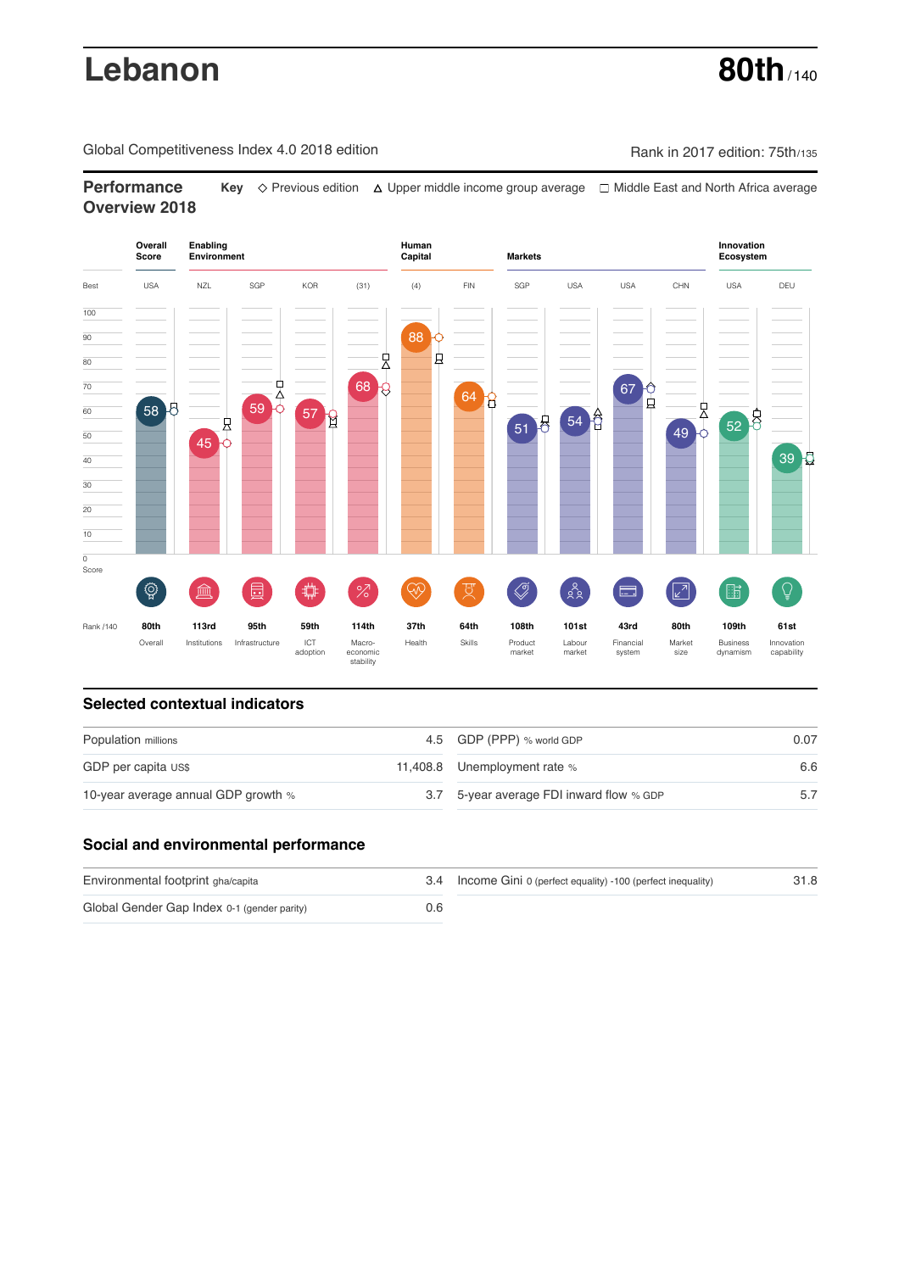# **Lebanon 80th** / 140

Global Competitiveness Index 4.0 2018 edition Company Rank in 2017 edition: 75th/135

**Performance Key**  $\Diamond$  Previous edition △ Upper middle income group average □ Middle East and North Africa average **Overview 2018**



# **Selected contextual indicators**

| Population millions                 | 4.5 GDP (PPP) % world GDP                | 0.07 |
|-------------------------------------|------------------------------------------|------|
| GDP per capita US\$                 | 11,408.8 Unemployment rate %             | 6.6  |
| 10-year average annual GDP growth % | 3.7 5-year average FDI inward flow % GDP |      |

# **Social and environmental performance**

| Environmental footprint gha/capita          |     | 3.4 Income Gini 0 (perfect equality) -100 (perfect inequality) | 31.8 |
|---------------------------------------------|-----|----------------------------------------------------------------|------|
| Global Gender Gap Index 0-1 (gender parity) | 0.6 |                                                                |      |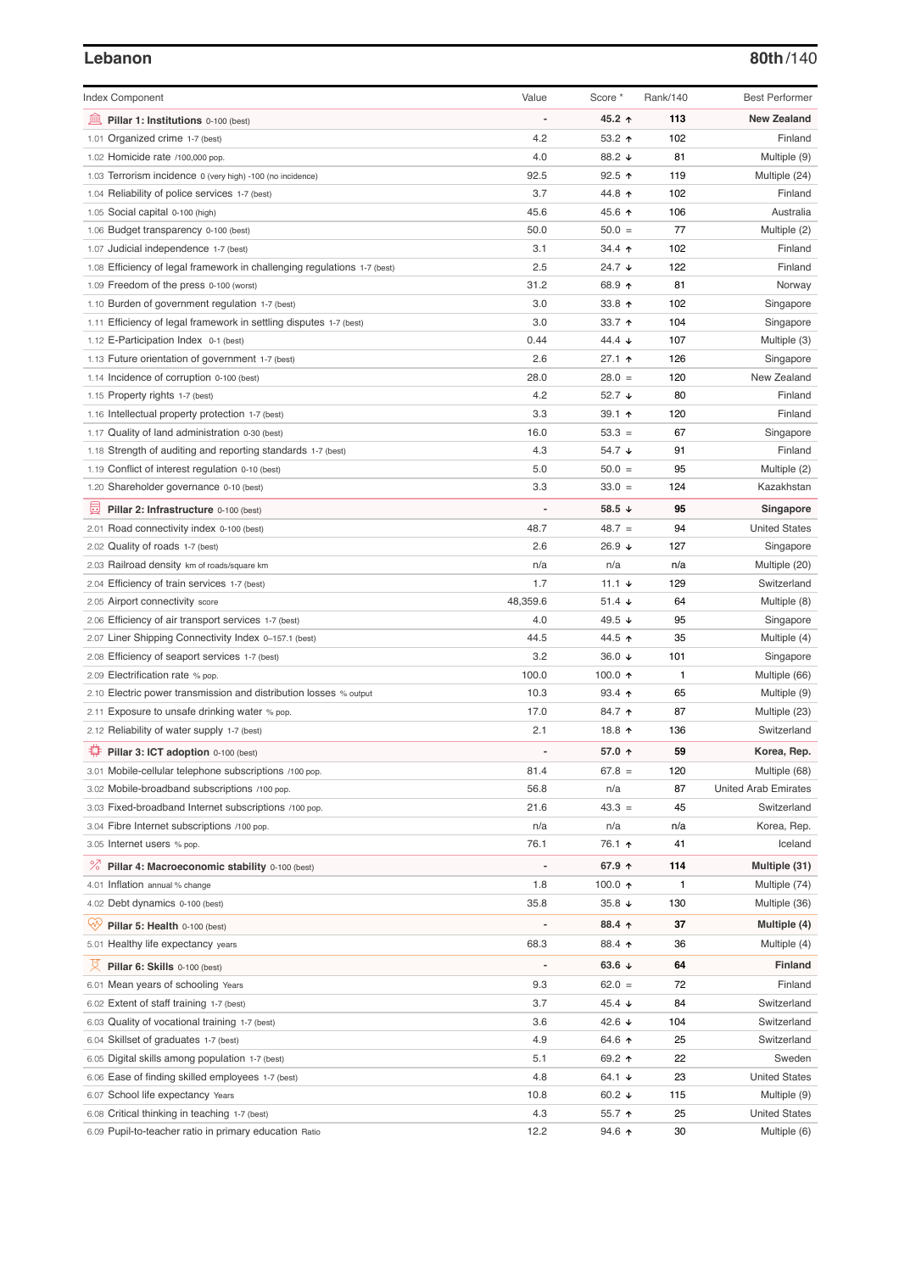### **Lebanon 80th**/140

| <b>Index Component</b>                                                                                  | Value          | Score *           | Rank/140 | <b>Best Performer</b>                |
|---------------------------------------------------------------------------------------------------------|----------------|-------------------|----------|--------------------------------------|
| 寙<br>Pillar 1: Institutions 0-100 (best)                                                                |                | 45.2 ↑            | 113      | <b>New Zealand</b>                   |
| 1.01 Organized crime 1-7 (best)                                                                         | 4.2            | 53.2 $\uparrow$   | 102      | Finland                              |
| 1.02 Homicide rate /100,000 pop.                                                                        | 4.0            | 88.2 ↓            | 81       | Multiple (9)                         |
| 1.03 Terrorism incidence 0 (very high) -100 (no incidence)                                              | 92.5           | $92.5$ ↑          | 119      | Multiple (24)                        |
| 1.04 Reliability of police services 1-7 (best)                                                          | 3.7            | 44.8 ↑            | 102      | Finland                              |
| 1.05 Social capital 0-100 (high)                                                                        | 45.6           | 45.6 ↑            | 106      | Australia                            |
| 1.06 Budget transparency 0-100 (best)                                                                   | 50.0           | $50.0 =$          | 77       | Multiple (2)                         |
| 1.07 Judicial independence 1-7 (best)                                                                   | 3.1            | 34.4 1            | 102      | Finland                              |
| 1.08 Efficiency of legal framework in challenging regulations 1-7 (best)                                | 2.5            | 24.7 ↓            | 122      | Finland                              |
| 1.09 Freedom of the press 0-100 (worst)                                                                 | 31.2           | 68.9 ↑            | 81       | Norway                               |
| 1.10 Burden of government regulation 1-7 (best)                                                         | 3.0            | 33.8 $1$          | 102      | Singapore                            |
| 1.11 Efficiency of legal framework in settling disputes 1-7 (best)                                      | 3.0            | 33.7 $\uparrow$   | 104      | Singapore                            |
| 1.12 E-Participation Index 0-1 (best)                                                                   | 0.44           | 44.4 $\sqrt{ }$   | 107      | Multiple (3)                         |
| 1.13 Future orientation of government 1-7 (best)                                                        | 2.6            | 27.1 ተ            | 126      | Singapore                            |
| 1.14 Incidence of corruption 0-100 (best)                                                               | 28.0           | $28.0 =$          | 120      | New Zealand                          |
| 1.15 Property rights 1-7 (best)                                                                         | 4.2            | 52.7 $\sqrt{ }$   | 80       | Finland                              |
| 1.16 Intellectual property protection 1-7 (best)                                                        | 3.3            | 39.1 $\uparrow$   | 120      | Finland                              |
| 1.17 Quality of land administration 0-30 (best)                                                         | 16.0           | $53.3 =$          | 67       | Singapore                            |
| 1.18 Strength of auditing and reporting standards 1-7 (best)                                            | 4.3            | 54.7 $\downarrow$ | 91       | Finland                              |
| 1.19 Conflict of interest regulation 0-10 (best)                                                        | 5.0            | $50.0 =$          | 95       | Multiple (2)                         |
| 1.20 Shareholder governance 0-10 (best)                                                                 | 3.3            | $33.0 =$          | 124      | Kazakhstan                           |
| 囩<br>Pillar 2: Infrastructure 0-100 (best)                                                              |                | 58.5 $\sqrt{ }$   | 95       | Singapore                            |
| 2.01 Road connectivity index 0-100 (best)                                                               | 48.7           | $48.7 =$          | 94       | <b>United States</b>                 |
| 2.02 Quality of roads 1-7 (best)                                                                        | 2.6            | 26.9 ↓            | 127      | Singapore                            |
| 2.03 Railroad density km of roads/square km                                                             | n/a            | n/a               | n/a      | Multiple (20)                        |
| 2.04 Efficiency of train services 1-7 (best)                                                            | 1.7            | 11.1 $\sqrt{ }$   | 129      | Switzerland                          |
| 2.05 Airport connectivity score                                                                         | 48,359.6       | 51.4 $\sqrt{ }$   | 64       | Multiple (8)                         |
| 2.06 Efficiency of air transport services 1-7 (best)                                                    | 4.0            | 49.5 ↓            | 95       | Singapore                            |
| 2.07 Liner Shipping Connectivity Index 0-157.1 (best)                                                   | 44.5           | 44.5 ↑            | 35       | Multiple (4)                         |
| 2.08 Efficiency of seaport services 1-7 (best)                                                          | 3.2            | 36.0 $\sqrt{ }$   | 101      | Singapore                            |
| 2.09 Electrification rate % pop.                                                                        | 100.0          | 100.0 $\uparrow$  | 1        | Multiple (66)                        |
| 2.10 Electric power transmission and distribution losses % output                                       | 10.3           | $93.4$ 1          | 65       | Multiple (9)                         |
| 2.11 Exposure to unsafe drinking water % pop.                                                           | 17.0           | 84.7 ተ            | 87       | Multiple (23)                        |
| 2.12 Reliability of water supply 1-7 (best)                                                             | 2.1            | 18.8 ↑            | 136      | Switzerland                          |
| Pillar 3: ICT adoption 0-100 (best)                                                                     |                | 57.0 ↑            | 59       | Korea, Rep.                          |
| 3.01 Mobile-cellular telephone subscriptions /100 pop.                                                  | 81.4           | $67.8 =$          | 120      | Multiple (68)                        |
| 3.02 Mobile-broadband subscriptions /100 pop.                                                           | 56.8           | n/a               | 87       | <b>United Arab Emirates</b>          |
| 3.03 Fixed-broadband Internet subscriptions /100 pop.                                                   | 21.6           | $43.3 =$          | 45       | Switzerland                          |
| 3.04 Fibre Internet subscriptions /100 pop.                                                             | n/a            | n/a               | n/a      | Korea, Rep.                          |
| 3.05 Internet users % pop.                                                                              | 76.1           | 76.1 ↑            | 41       | Iceland                              |
| ℅<br>Pillar 4: Macroeconomic stability 0-100 (best)                                                     | $\overline{a}$ | 67.9 ↑            | 114      | Multiple (31)                        |
| 4.01 Inflation annual % change                                                                          | 1.8            | 100.0 $\uparrow$  | 1        | Multiple (74)                        |
| 4.02 Debt dynamics 0-100 (best)                                                                         | 35.8           | $35.8 +$          | 130      | Multiple (36)                        |
| Qÿ<br>Pillar 5: Health 0-100 (best)                                                                     |                | 88.4 ↑            | 37       | Multiple (4)                         |
| 5.01 Healthy life expectancy years                                                                      | 68.3           | 88.4 ↑            | 36       | Multiple (4)                         |
|                                                                                                         |                |                   |          |                                      |
| 섯<br>Pillar 6: Skills 0-100 (best)                                                                      | $\overline{a}$ | 63.6 $\sqrt{ }$   | 64       | <b>Finland</b>                       |
| 6.01 Mean years of schooling Years                                                                      | 9.3            | $62.0 =$          | 72       | Finland                              |
| 6.02 Extent of staff training 1-7 (best)                                                                | 3.7            | 45.4 ↓            | 84       | Switzerland                          |
| 6.03 Quality of vocational training 1-7 (best)                                                          | 3.6            | 42.6 $\sqrt{ }$   | 104      | Switzerland                          |
| 6.04 Skillset of graduates 1-7 (best)                                                                   | 4.9            | 64.6 ↑            | 25       | Switzerland                          |
| 6.05 Digital skills among population 1-7 (best)                                                         | 5.1            | 69.2 ↑            | 22       | Sweden                               |
| 6.06 Ease of finding skilled employees 1-7 (best)                                                       | 4.8            | 64.1 $\sqrt{ }$   | 23       | <b>United States</b>                 |
| 6.07 School life expectancy Years                                                                       | 10.8<br>4.3    | 60.2 $\sqrt{ }$   | 115      | Multiple (9)                         |
| 6.08 Critical thinking in teaching 1-7 (best)<br>6.09 Pupil-to-teacher ratio in primary education Ratio | 12.2           | 55.7 ↑<br>94.6 ↑  | 25<br>30 | <b>United States</b><br>Multiple (6) |
|                                                                                                         |                |                   |          |                                      |